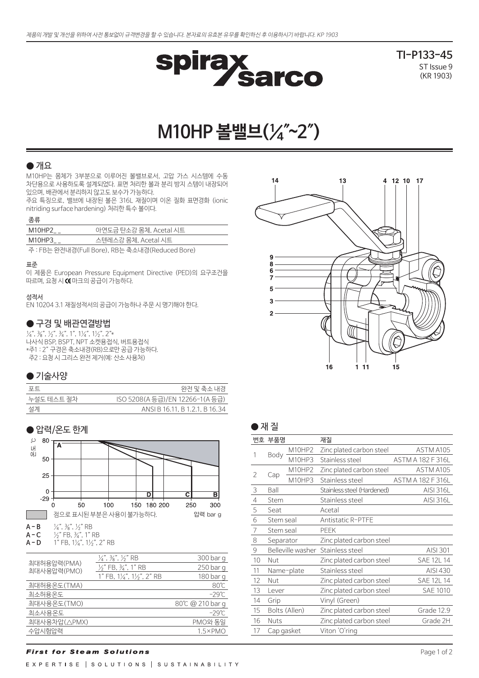

**TI-P133-45** ST Issue 9 (KR 1903)

# **M10HP 볼밸브(¼″~2″)**

# $\bullet$  개요

M10HP는 몸체가 3부분으로 이루어진 볼밸브로서, 고압 가스 시스템에 수동 차단용으로 사용하도록 설계되었다. 표면 처리한 볼과 분리 방지 스템이 내장되어 있으며, 배관에서 분리하지 않고도 보수가 가능하다.

주요 특징으로, 밸브에 내장된 볼은 316L 재질이며 이온 질화 표면경화 (ionic nitriding surface hardening) 처리한 특수 볼이다.

### 종류

| --      |                        |
|---------|------------------------|
| M10HP2  | 아연도금 탄소강 몸체, Acetal 시트 |
| M10HP3_ | 스텐레스강 몸체. Acetal 시트    |

주 : FB는 완전내경(Full Bore), RB는 축소내경(Reduced Bore)

#### 표준

이 제품은 European Pressure Equipment Directive (PED)의 요구조건을 따르며, 요청 시 CE 마크의 공급이 가능하다.

### 성적서

EN 10204 3.1 재질성적서의 공급이 가능하나 주문 시 명기해야 한다.

### ● 구경 및 배관연결방법

 $\frac{1}{4}$ ,  $\frac{3}{8}$ ,  $\frac{1}{2}$ ,  $\frac{3}{4}$ ,  $1$ ,  $\frac{1}{4}$ ,  $\frac{1}{4}$ ,  $\frac{1}{2}$ ,  $\frac{2}{3}$ 나사식 BSP, BSPT, NPT 소켓용접식, 버트용접식 \*주1 : 2″ 구경은 축소내경(RB)으로만 공급 가능하다. 주2 : 요청 시 그리스 완전 제거(예: 산소 사용처)

# ● 기술사양

| 포트         | 완전 밓 축소 내경                      |
|------------|---------------------------------|
| 누설도 테스트 절차 | ISO 5208(A 등급)/EN 12266-1(A 등급) |
| 설계         | ANSI B 16.11, B 1.2.1, B 16.34  |



| 쇠네어풍합덕(PMA)<br>최대사용압력(PMO) | $\frac{1}{2}$ " FB, $\frac{3}{4}$ ", 1" RB       | 250 bar g       |
|----------------------------|--------------------------------------------------|-----------------|
|                            | 1" FB, $1\frac{1}{4}$ ", $1\frac{1}{5}$ ", 2" RB | 180 bar q       |
| 최대허용온도(TMA)                |                                                  | $80^{\circ}$ C  |
| 최소허용온도                     |                                                  | $-29^\circ$ C   |
| 최대사용온도(TMO)                |                                                  | 80℃ @ 210 bar q |
| 최소사용온도                     |                                                  | $-29^\circ$ C   |
| 최대사용차압(△PMX)               |                                                  | PMO와 동일         |
| 수압시험압력                     |                                                  | $1.5\times$ PMO |
|                            |                                                  |                 |



| <b>STATISTICS</b> |  |
|-------------------|--|
|-------------------|--|

|                | 번호 부품명         |                   | 재질                         |                          |
|----------------|----------------|-------------------|----------------------------|--------------------------|
|                |                | M10HP2            | Zinc plated carbon steel   | ASTM A105                |
| 1              | Body<br>M10HP3 |                   | Stainless steel            | ASTM A 182 F 316L        |
| 2              |                | M10HP2            | Zinc plated carbon steel   | ASTM A105                |
|                | Cap            | M10HP3            | Stainless steel            | <b>ASTM A 182 F 316L</b> |
| 3              | Ball           |                   | Stainless steel (Hardened) | <b>AISI 316L</b>         |
| $\overline{4}$ | Stem           |                   | Stainless steel            | AISI 316L                |
| 5              | Seat           |                   | Acetal                     |                          |
| 6              | Stem seal      |                   | Antistatic R-PTFE          |                          |
| 7              | Stem seal      |                   | <b>PEEK</b>                |                          |
| 8              | Separator      |                   | Zinc plated carbon steel   |                          |
| 9              |                | Belleville washer | Stainless steel            | AISI 301                 |
| 10             | Nut            |                   | Zinc plated carbon steel   | <b>SAE 12L 14</b>        |
| 11             |                | Name-plate        | Stainless steel            | AISI 430                 |
| 12             | Nut            |                   | Zinc plated carbon steel   | <b>SAE 12L 14</b>        |
| 13             | Lever          |                   | Zinc plated carbon steel   | <b>SAE 1010</b>          |
| 14             | Grip           |                   | Vinyl (Green)              |                          |
| 15             |                | Bolts (Allen)     | Zinc plated carbon steel   | Grade 12.9               |
| 16             | Nuts           |                   | Zinc plated carbon steel   | Grade 2H                 |
| 17             | Cap gasket     |                   | Viton 'O'ring              |                          |

# **First for Steam Solutions**

EXPERTISE | SOLUTIONS | SUSTAINABILITY